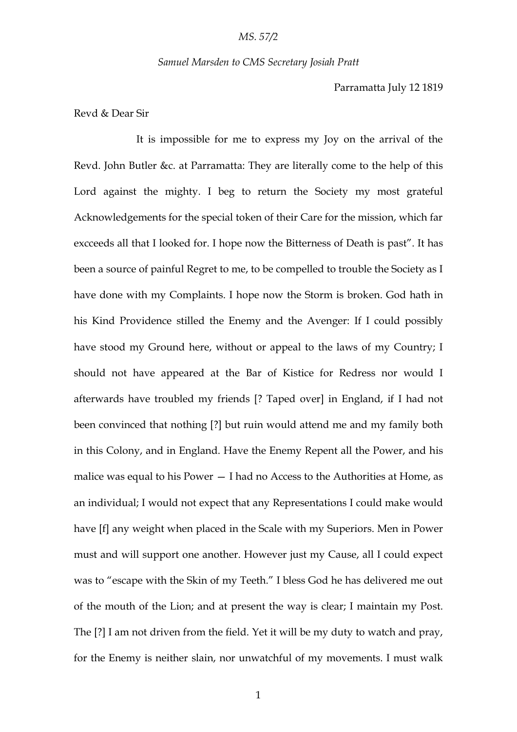#### *Samuel Marsden to CMS Secretary Josiah Pratt*

Parramatta July 12 1819

Revd & Dear Sir

It is impossible for me to express my Joy on the arrival of the Revd. John Butler &c. at Parramatta: They are literally come to the help of this Lord against the mighty. I beg to return the Society my most grateful Acknowledgements for the special token of their Care for the mission, which far excceeds all that I looked for. I hope now the Bitterness of Death is past". It has been a source of painful Regret to me, to be compelled to trouble the Society as I have done with my Complaints. I hope now the Storm is broken. God hath in his Kind Providence stilled the Enemy and the Avenger: If I could possibly have stood my Ground here, without or appeal to the laws of my Country; I should not have appeared at the Bar of Kistice for Redress nor would I afterwards have troubled my friends [? Taped over] in England, if I had not been convinced that nothing [?] but ruin would attend me and my family both in this Colony, and in England. Have the Enemy Repent all the Power, and his malice was equal to his Power — I had no Access to the Authorities at Home, as an individual; I would not expect that any Representations I could make would have [f] any weight when placed in the Scale with my Superiors. Men in Power must and will support one another. However just my Cause, all I could expect was to "escape with the Skin of my Teeth." I bless God he has delivered me out of the mouth of the Lion; and at present the way is clear; I maintain my Post. The [?] I am not driven from the field. Yet it will be my duty to watch and pray, for the Enemy is neither slain, nor unwatchful of my movements. I must walk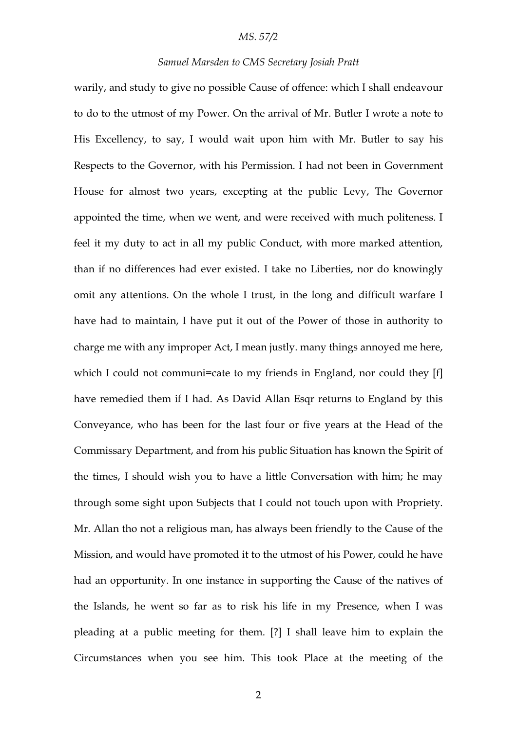#### *MS. 57/2*

### *Samuel Marsden to CMS Secretary Josiah Pratt*

warily, and study to give no possible Cause of offence: which I shall endeavour to do to the utmost of my Power. On the arrival of Mr. Butler I wrote a note to His Excellency, to say, I would wait upon him with Mr. Butler to say his Respects to the Governor, with his Permission. I had not been in Government House for almost two years, excepting at the public Levy, The Governor appointed the time, when we went, and were received with much politeness. I feel it my duty to act in all my public Conduct, with more marked attention, than if no differences had ever existed. I take no Liberties, nor do knowingly omit any attentions. On the whole I trust, in the long and difficult warfare I have had to maintain, I have put it out of the Power of those in authority to charge me with any improper Act, I mean justly. many things annoyed me here, which I could not communi=cate to my friends in England, nor could they [f] have remedied them if I had. As David Allan Esqr returns to England by this Conveyance, who has been for the last four or five years at the Head of the Commissary Department, and from his public Situation has known the Spirit of the times, I should wish you to have a little Conversation with him; he may through some sight upon Subjects that I could not touch upon with Propriety. Mr. Allan tho not a religious man, has always been friendly to the Cause of the Mission, and would have promoted it to the utmost of his Power, could he have had an opportunity. In one instance in supporting the Cause of the natives of the Islands, he went so far as to risk his life in my Presence, when I was pleading at a public meeting for them. [?] I shall leave him to explain the Circumstances when you see him. This took Place at the meeting of the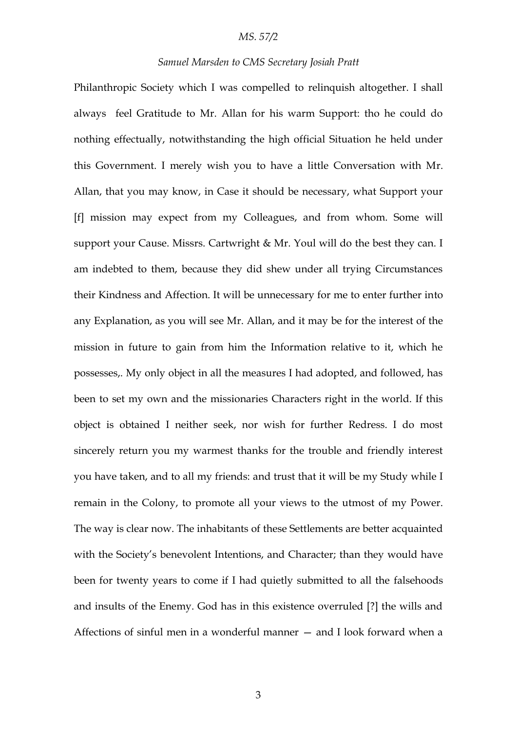### *MS. 57/2*

### *Samuel Marsden to CMS Secretary Josiah Pratt*

Philanthropic Society which I was compelled to relinquish altogether. I shall always feel Gratitude to Mr. Allan for his warm Support: tho he could do nothing effectually, notwithstanding the high official Situation he held under this Government. I merely wish you to have a little Conversation with Mr. Allan, that you may know, in Case it should be necessary, what Support your [f] mission may expect from my Colleagues, and from whom. Some will support your Cause. Missrs. Cartwright & Mr. Youl will do the best they can. I am indebted to them, because they did shew under all trying Circumstances their Kindness and Affection. It will be unnecessary for me to enter further into any Explanation, as you will see Mr. Allan, and it may be for the interest of the mission in future to gain from him the Information relative to it, which he possesses,. My only object in all the measures I had adopted, and followed, has been to set my own and the missionaries Characters right in the world. If this object is obtained I neither seek, nor wish for further Redress. I do most sincerely return you my warmest thanks for the trouble and friendly interest you have taken, and to all my friends: and trust that it will be my Study while I remain in the Colony, to promote all your views to the utmost of my Power. The way is clear now. The inhabitants of these Settlements are better acquainted with the Society's benevolent Intentions, and Character; than they would have been for twenty years to come if I had quietly submitted to all the falsehoods and insults of the Enemy. God has in this existence overruled [?] the wills and Affections of sinful men in a wonderful manner — and I look forward when a